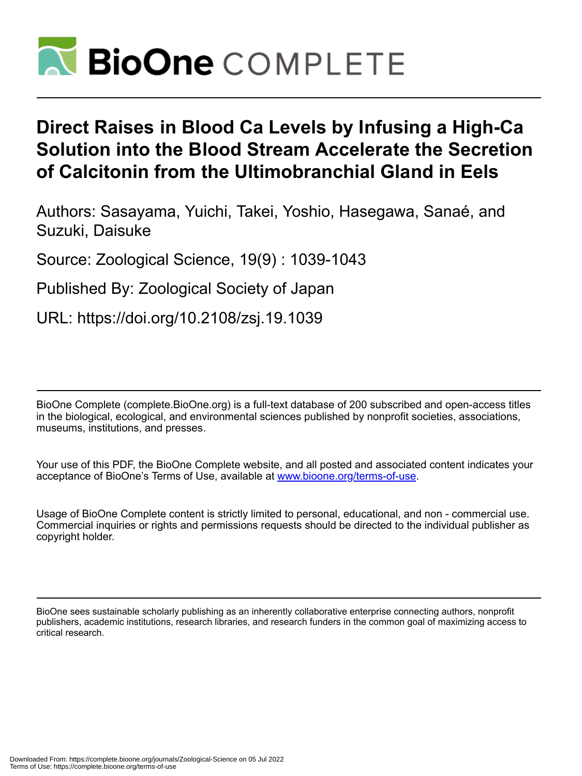

# **Direct Raises in Blood Ca Levels by Infusing a High-Ca Solution into the Blood Stream Accelerate the Secretion of Calcitonin from the Ultimobranchial Gland in Eels**

Authors: Sasayama, Yuichi, Takei, Yoshio, Hasegawa, Sanaé, and Suzuki, Daisuke

Source: Zoological Science, 19(9) : 1039-1043

Published By: Zoological Society of Japan

URL: https://doi.org/10.2108/zsj.19.1039

BioOne Complete (complete.BioOne.org) is a full-text database of 200 subscribed and open-access titles in the biological, ecological, and environmental sciences published by nonprofit societies, associations, museums, institutions, and presses.

Your use of this PDF, the BioOne Complete website, and all posted and associated content indicates your acceptance of BioOne's Terms of Use, available at www.bioone.org/terms-of-use.

Usage of BioOne Complete content is strictly limited to personal, educational, and non - commercial use. Commercial inquiries or rights and permissions requests should be directed to the individual publisher as copyright holder.

BioOne sees sustainable scholarly publishing as an inherently collaborative enterprise connecting authors, nonprofit publishers, academic institutions, research libraries, and research funders in the common goal of maximizing access to critical research.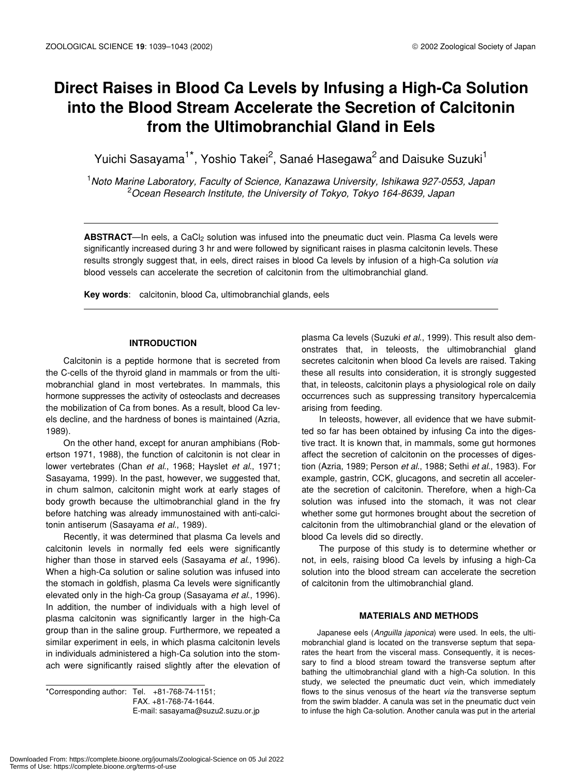# **Direct Raises in Blood Ca Levels by Infusing a High-Ca Solution into the Blood Stream Accelerate the Secretion of Calcitonin from the Ultimobranchial Gland in Eels**

Yuichi Sasayama<sup>1\*</sup>, Yoshio Takei<sup>2</sup>, Sanaé Hasegawa<sup>2</sup> and Daisuke Suzuki<sup>1</sup>

1 *Noto Marine Laboratory, Faculty of Science, Kanazawa University, Ishikawa 927-0553, Japan* 2 *Ocean Research Institute, the University of Tokyo, Tokyo 164-8639, Japan*

ABSTRACT—In eels, a CaCl<sub>2</sub> solution was infused into the pneumatic duct vein. Plasma Ca levels were significantly increased during 3 hr and were followed by significant raises in plasma calcitonin levels. These results strongly suggest that, in eels, direct raises in blood Ca levels by infusion of a high-Ca solution *via* blood vessels can accelerate the secretion of calcitonin from the ultimobranchial gland.

**Key words**: calcitonin, blood Ca, ultimobranchial glands, eels

### **INTRODUCTION**

Calcitonin is a peptide hormone that is secreted from the C-cells of the thyroid gland in mammals or from the ultimobranchial gland in most vertebrates. In mammals, this hormone suppresses the activity of osteoclasts and decreases the mobilization of Ca from bones. As a result, blood Ca levels decline, and the hardness of bones is maintained (Azria, 1989).

On the other hand, except for anuran amphibians (Robertson 1971, 1988), the function of calcitonin is not clear in lower vertebrates (Chan *et al*., 1968; Hayslet *et al*., 1971; Sasayama, 1999). In the past, however, we suggested that, in chum salmon, calcitonin might work at early stages of body growth because the ultimobranchial gland in the fry before hatching was already immunostained with anti-calcitonin antiserum (Sasayama *et al*., 1989).

Recently, it was determined that plasma Ca levels and calcitonin levels in normally fed eels were significantly higher than those in starved eels (Sasayama *et al*., 1996). When a high-Ca solution or saline solution was infused into the stomach in goldfish, plasma Ca levels were significantly elevated only in the high-Ca group (Sasayama *et al*., 1996). In addition, the number of individuals with a high level of plasma calcitonin was significantly larger in the high-Ca group than in the saline group. Furthermore, we repeated a similar experiment in eels, in which plasma calcitonin levels in individuals administered a high-Ca solution into the stomach were significantly raised slightly after the elevation of

\*Corresponding author: Tel. +81-768-74-1151; FAX. +81-768-74-1644. E-mail: sasayama@suzu2.suzu.or.jp plasma Ca levels (Suzuki *et al*., 1999). This result also demonstrates that, in teleosts, the ultimobranchial gland secretes calcitonin when blood Ca levels are raised. Taking these all results into consideration, it is strongly suggested that, in teleosts, calcitonin plays a physiological role on daily occurrences such as suppressing transitory hypercalcemia arising from feeding.

In teleosts, however, all evidence that we have submitted so far has been obtained by infusing Ca into the digestive tract. It is known that, in mammals, some gut hormones affect the secretion of calcitonin on the processes of digestion (Azria, 1989; Person *et al*., 1988; Sethi *et al*., 1983). For example, gastrin, CCK, glucagons, and secretin all accelerate the secretion of calcitonin. Therefore, when a high-Ca solution was infused into the stomach, it was not clear whether some gut hormones brought about the secretion of calcitonin from the ultimobranchial gland or the elevation of blood Ca levels did so directly.

The purpose of this study is to determine whether or not, in eels, raising blood Ca levels by infusing a high-Ca solution into the blood stream can accelerate the secretion of calcitonin from the ultimobranchial gland.

## **MATERIALS AND METHODS**

Japanese eels (*Anguilla japonica*) were used. In eels, the ultimobranchial gland is located on the transverse septum that separates the heart from the visceral mass. Consequently, it is necessary to find a blood stream toward the transverse septum after bathing the ultimobranchial gland with a high-Ca solution. In this study, we selected the pneumatic duct vein, which immediately flows to the sinus venosus of the heart *via* the transverse septum from the swim bladder. A canula was set in the pneumatic duct vein to infuse the high Ca-solution. Another canula was put in the arterial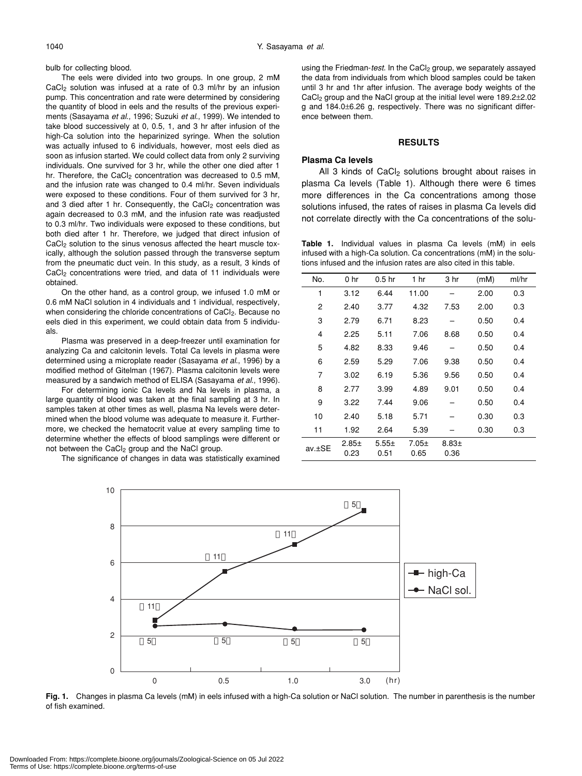bulb for collecting blood.

The eels were divided into two groups. In one group, 2 mM CaCl<sub>2</sub> solution was infused at a rate of 0.3 ml/hr by an infusion pump. This concentration and rate were determined by considering the quantity of blood in eels and the results of the previous experiments (Sasayama *et al*., 1996; Suzuki *et al*., 1999). We intended to take blood successively at 0, 0.5, 1, and 3 hr after infusion of the high-Ca solution into the heparinized syringe. When the solution was actually infused to 6 individuals, however, most eels died as soon as infusion started. We could collect data from only 2 surviving individuals. One survived for 3 hr, while the other one died after 1 hr. Therefore, the CaCl<sub>2</sub> concentration was decreased to 0.5 mM, and the infusion rate was changed to 0.4 ml/hr. Seven individuals were exposed to these conditions. Four of them survived for 3 hr, and 3 died after 1 hr. Consequently, the CaCl<sub>2</sub> concentration was again decreased to 0.3 mM, and the infusion rate was readjusted to 0.3 ml/hr. Two individuals were exposed to these conditions, but both died after 1 hr. Therefore, we judged that direct infusion of CaCl<sub>2</sub> solution to the sinus venosus affected the heart muscle toxically, although the solution passed through the transverse septum from the pneumatic duct vein. In this study, as a result, 3 kinds of CaCl<sub>2</sub> concentrations were tried, and data of 11 individuals were obtained.

On the other hand, as a control group, we infused 1.0 mM or 0.6 mM NaCl solution in 4 individuals and 1 individual, respectively, when considering the chloride concentrations of CaCl<sub>2</sub>. Because no eels died in this experiment, we could obtain data from 5 individuals.

Plasma was preserved in a deep-freezer until examination for analyzing Ca and calcitonin levels. Total Ca levels in plasma were determined using a microplate reader (Sasayama *et al*., 1996) by a modified method of Gitelman (1967). Plasma calcitonin levels were measured by a sandwich method of ELISA (Sasayama *et al*., 1996).

For determining ionic Ca levels and Na levels in plasma, a large quantity of blood was taken at the final sampling at 3 hr. In samples taken at other times as well, plasma Na levels were determined when the blood volume was adequate to measure it. Furthermore, we checked the hematocrit value at every sampling time to determine whether the effects of blood samplings were different or not between the CaCl<sub>2</sub> group and the NaCl group.

The significance of changes in data was statistically examined

using the Friedman-*test*. In the CaCl<sub>2</sub> group, we separately assayed the data from individuals from which blood samples could be taken until 3 hr and 1hr after infusion. The average body weights of the CaCl2 group and the NaCl group at the initial level were 189.2±2.02 g and 184.0±6.26 g, respectively. There was no significant difference between them.

#### **RESULTS**

# **Plasma Ca levels**

All 3 kinds of  $CaCl<sub>2</sub>$  solutions brought about raises in plasma Ca levels (Table 1). Although there were 6 times more differences in the Ca concentrations among those solutions infused, the rates of raises in plasma Ca levels did not correlate directly with the Ca concentrations of the solu-

**Table 1.** Individual values in plasma Ca levels (mM) in eels infused with a high-Ca solution. Ca concentrations (mM) in the solutions infused and the infusion rates are also cited in this table.

| No.    | 0 <sub>hr</sub> | 0.5 <sub>hr</sub>  | 1 <sub>hr</sub>    | 3 hr             | (mM) | ml/hr |
|--------|-----------------|--------------------|--------------------|------------------|------|-------|
| 1      | 3.12            | 6.44               | 11.00              |                  | 2.00 | 0.3   |
| 2      | 2.40            | 3.77               | 4.32               | 7.53             | 2.00 | 0.3   |
| 3      | 2.79            | 6.71               | 8.23               |                  | 0.50 | 0.4   |
| 4      | 2.25            | 5.11               | 7.06               | 8.68             | 0.50 | 0.4   |
| 5      | 4.82            | 8.33               | 9.46               |                  | 0.50 | 0.4   |
| 6      | 2.59            | 5.29               | 7.06               | 9.38             | 0.50 | 0.4   |
| 7      | 3.02            | 6.19               | 5.36               | 9.56             | 0.50 | 0.4   |
| 8      | 2.77            | 3.99               | 4.89               | 9.01             | 0.50 | 0.4   |
| 9      | 3.22            | 7.44               | 9.06               |                  | 0.50 | 0.4   |
| 10     | 2.40            | 5.18               | 5.71               |                  | 0.30 | 0.3   |
| 11     | 1.92            | 2.64               | 5.39               |                  | 0.30 | 0.3   |
| av.±SE | $2.85+$<br>0.23 | $5.55 \pm$<br>0.51 | $7.05 \pm$<br>0.65 | $8.83 +$<br>0.36 |      |       |



**Fig. 1.** Changes in plasma Ca levels (mM) in eels infused with a high-Ca solution or NaCl solution. The number in parenthesis is the number of fish examined.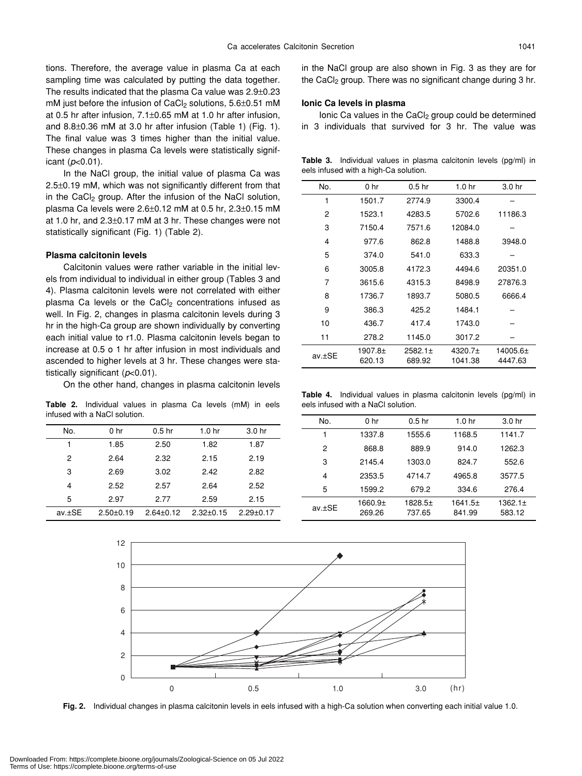tions. Therefore, the average value in plasma Ca at each sampling time was calculated by putting the data together. The results indicated that the plasma Ca value was 2.9±0.23 mM just before the infusion of CaCl<sub>2</sub> solutions,  $5.6\pm0.51$  mM at 0.5 hr after infusion, 7.1±0.65 mM at 1.0 hr after infusion, and 8.8±0.36 mM at 3.0 hr after infusion (Table 1) (Fig. 1). The final value was 3 times higher than the initial value. These changes in plasma Ca levels were statistically significant (*p*<0.01).

In the NaCl group, the initial value of plasma Ca was 2.5±0.19 mM, which was not significantly different from that in the CaC $\vert_2$  group. After the infusion of the NaCl solution, plasma Ca levels were 2.6±0.12 mM at 0.5 hr, 2.3±0.15 mM at 1.0 hr, and 2.3±0.17 mM at 3 hr. These changes were not statistically significant (Fig. 1) (Table 2).

#### **Plasma calcitonin levels**

Calcitonin values were rather variable in the initial levels from individual to individual in either group (Tables 3 and 4). Plasma calcitonin levels were not correlated with either plasma Ca levels or the CaCl<sub>2</sub> concentrations infused as well. In Fig. 2, changes in plasma calcitonin levels during 3 hr in the high-Ca group are shown individually by converting each initial value to r1.0. Plasma calcitonin levels began to increase at 0.5 o 1 hr after infusion in most individuals and ascended to higher levels at 3 hr. These changes were statistically significant (*p*<0.01).

On the other hand, changes in plasma calcitonin levels

**Table 2.** Individual values in plasma Ca levels (mM) in eels infused with a NaCl solution.

| No.    | 0 <sub>hr</sub> | 0.5 <sub>hr</sub> | 1.0 <sub>hr</sub> | 3.0 hr          |
|--------|-----------------|-------------------|-------------------|-----------------|
|        | 1.85            | 2.50              | 1.82              | 1.87            |
| 2      | 2.64            | 2.32              | 2.15              | 2.19            |
| 3      | 2.69            | 3.02              | 2.42              | 2.82            |
| 4      | 2.52            | 2.57              | 2.64              | 2.52            |
| 5      | 2.97            | 2.77              | 2.59              | 2.15            |
| av.±SE | $2.50+0.19$     | $2.64 \pm 0.12$   | $2.32 \pm 0.15$   | $2.29 \pm 0.17$ |

in the NaCl group are also shown in Fig. 3 as they are for the CaCl<sub>2</sub> group. There was no significant change during 3 hr.

#### **Ionic Ca levels in plasma**

Ionic Ca values in the CaCl<sub>2</sub> group could be determined in 3 individuals that survived for 3 hr. The value was

**Table 3.** Individual values in plasma calcitonin levels (pg/ml) in eels infused with a high-Ca solution.

| No.    | 0 <sub>hr</sub> | 0.5 <sub>hr</sub> | 1.0 <sub>hr</sub> | 3.0 hr   |
|--------|-----------------|-------------------|-------------------|----------|
| 1      | 1501.7          | 2774.9            | 3300.4            |          |
| 2      | 1523.1          | 4283.5            | 5702.6            | 11186.3  |
| 3      | 7150.4          | 7571.6            | 12084.0           |          |
| 4      | 977.6           | 862.8             | 1488.8            | 3948.0   |
| 5      | 374.0           | 541.0             | 633.3             |          |
| 6      | 3005.8          | 4172.3            | 4494.6            | 20351.0  |
| 7      | 3615.6          | 4315.3            | 8498.9            | 27876.3  |
| 8      | 1736.7          | 1893.7            | 5080.5            | 6666.4   |
| 9      | 386.3           | 425.2             | 1484.1            |          |
| 10     | 436.7           | 417.4             | 1743.0            |          |
| 11     | 278.2           | 1145.0            | 3017.2            |          |
| av.±SE | 1907.8±         | $2582.1 \pm$      | 4320.7±           | 14005.6± |
|        | 620.13          | 689.92            | 1041.38           | 4447.63  |

**Table 4.** Individual values in plasma calcitonin levels (pg/ml) in eels infused with a NaCl solution.

| No.    | 0 <sub>hr</sub>   | 0.5 <sub>hr</sub> | 1.0 <sub>hr</sub> | 3.0 <sub>hr</sub>      |
|--------|-------------------|-------------------|-------------------|------------------------|
|        | 1337.8            | 1555.6            | 1168.5            | 1141.7                 |
| 2      | 868.8             | 889.9             | 914.0             | 1262.3                 |
| 3      | 2145.4            | 1303.0            | 824.7             | 552.6                  |
| 4      | 2353.5            | 4714.7            | 4965.8            | 3577.5                 |
| 5      | 1599.2            | 679.2             | 334.6             | 276.4                  |
| av.±SE | 1660.9±<br>269.26 | 1828.5±<br>737.65 | 1641.5±<br>841.99 | $1362.1 \pm$<br>583.12 |



**Fig. 2.** Individual changes in plasma calcitonin levels in eels infused with a high-Ca solution when converting each initial value 1.0.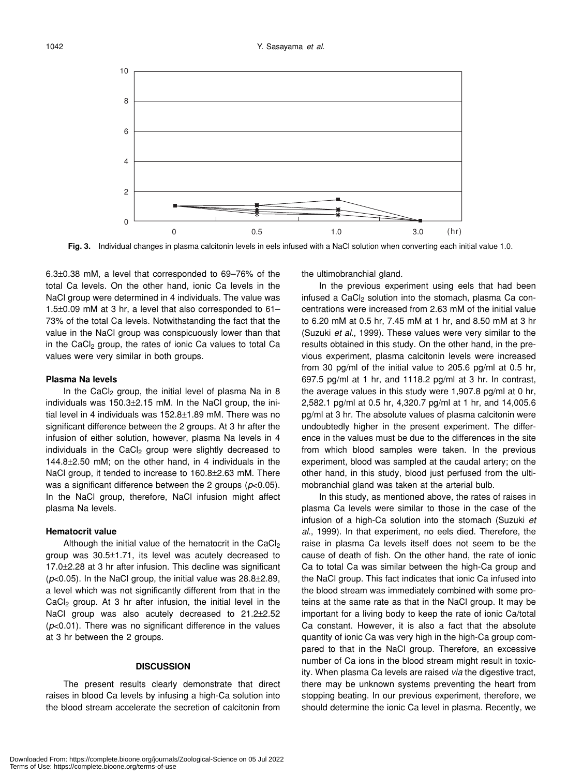

**Fig. 3.** Individual changes in plasma calcitonin levels in eels infused with a NaCl solution when converting each initial value 1.0.

6.3±0.38 mM, a level that corresponded to 69–76% of the total Ca levels. On the other hand, ionic Ca levels in the NaCl group were determined in 4 individuals. The value was 1.5±0.09 mM at 3 hr, a level that also corresponded to 61– 73% of the total Ca levels. Notwithstanding the fact that the value in the NaCl group was conspicuously lower than that in the CaCl<sub>2</sub> group, the rates of ionic Ca values to total Ca values were very similar in both groups.

#### **Plasma Na levels**

In the CaCl<sub>2</sub> group, the initial level of plasma Na in 8 individuals was 150.3±2.15 mM. In the NaCl group, the initial level in 4 individuals was 152.8±1.89 mM. There was no significant difference between the 2 groups. At 3 hr after the infusion of either solution, however, plasma Na levels in 4 individuals in the CaCl<sub>2</sub> group were slightly decreased to 144.8±2.50 mM; on the other hand, in 4 individuals in the NaCl group, it tended to increase to 160.8±2.63 mM. There was a significant difference between the 2 groups (*p*<0.05). In the NaCl group, therefore, NaCl infusion might affect plasma Na levels.

#### **Hematocrit value**

Although the initial value of the hematocrit in the CaCl<sub>2</sub> group was 30.5±1.71, its level was acutely decreased to 17.0±2.28 at 3 hr after infusion. This decline was significant  $(p<0.05)$ . In the NaCl group, the initial value was  $28.8\pm2.89$ , a level which was not significantly different from that in the  $CaCl<sub>2</sub>$  group. At 3 hr after infusion, the initial level in the NaCl group was also acutely decreased to 21.2±2.52 (*p*<0.01). There was no significant difference in the values at 3 hr between the 2 groups.

#### **DISCUSSION**

The present results clearly demonstrate that direct raises in blood Ca levels by infusing a high-Ca solution into the blood stream accelerate the secretion of calcitonin from the ultimobranchial gland.

In the previous experiment using eels that had been infused a  $CaCl<sub>2</sub>$  solution into the stomach, plasma Ca concentrations were increased from 2.63 mM of the initial value to 6.20 mM at 0.5 hr, 7.45 mM at 1 hr, and 8.50 mM at 3 hr (Suzuki *et al*., 1999). These values were very similar to the results obtained in this study. On the other hand, in the previous experiment, plasma calcitonin levels were increased from 30 pg/ml of the initial value to 205.6 pg/ml at 0.5 hr, 697.5 pg/ml at 1 hr, and 1118.2 pg/ml at 3 hr. In contrast, the average values in this study were 1,907.8 pg/ml at 0 hr, 2,582.1 pg/ml at 0.5 hr, 4,320.7 pg/ml at 1 hr, and 14,005.6 pg/ml at 3 hr. The absolute values of plasma calcitonin were undoubtedly higher in the present experiment. The difference in the values must be due to the differences in the site from which blood samples were taken. In the previous experiment, blood was sampled at the caudal artery; on the other hand, in this study, blood just perfused from the ultimobranchial gland was taken at the arterial bulb.

In this study, as mentioned above, the rates of raises in plasma Ca levels were similar to those in the case of the infusion of a high-Ca solution into the stomach (Suzuki *et al*., 1999). In that experiment, no eels died. Therefore, the raise in plasma Ca levels itself does not seem to be the cause of death of fish. On the other hand, the rate of ionic Ca to total Ca was similar between the high-Ca group and the NaCl group. This fact indicates that ionic Ca infused into the blood stream was immediately combined with some proteins at the same rate as that in the NaCl group. It may be important for a living body to keep the rate of ionic Ca/total Ca constant. However, it is also a fact that the absolute quantity of ionic Ca was very high in the high-Ca group compared to that in the NaCl group. Therefore, an excessive number of Ca ions in the blood stream might result in toxicity. When plasma Ca levels are raised *via* the digestive tract, there may be unknown systems preventing the heart from stopping beating. In our previous experiment, therefore, we should determine the ionic Ca level in plasma. Recently, we